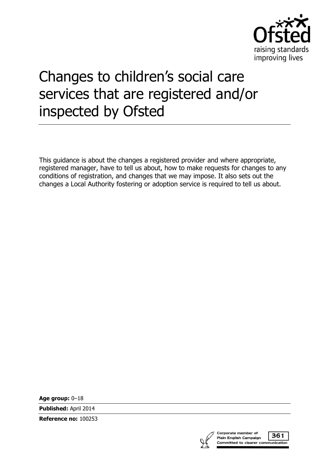

# Changes to children's social care services that are registered and/or inspected by Ofsted

This guidance is about the changes a registered provider and where appropriate, registered manager, have to tell us about, how to make requests for changes to any conditions of registration, and changes that we may impose. It also sets out the changes a Local Authority fostering or adoption service is required to tell us about.

**Age group:** 0–18

**Published:** April 2014

**Reference no:** 100253



361 Committed to clearer communication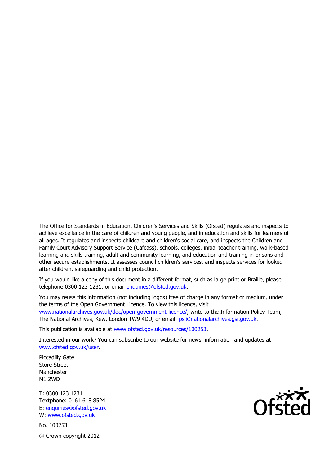The Office for Standards in Education, Children's Services and Skills (Ofsted) regulates and inspects to achieve excellence in the care of children and young people, and in education and skills for learners of all ages. It regulates and inspects childcare and children's social care, and inspects the Children and Family Court Advisory Support Service (Cafcass), schools, colleges, initial teacher training, work-based learning and skills training, adult and community learning, and education and training in prisons and other secure establishments. It assesses council children's services, and inspects services for looked after children, safeguarding and child protection.

If you would like a copy of this document in a different format, such as large print or Braille, please telephone 0300 123 1231, or email enquiries@ofsted.gov.uk.

You may reuse this information (not including logos) free of charge in any format or medium, under the terms of the Open Government Licence. To view this licence, visit www.nationalarchives.gov.uk/doc/open-government-licence/, write to the Information Policy Team, The National Archives, Kew, London TW9 4DU, or email: psi@nationalarchives.gsi.gov.uk.

This publication is available at www.ofsted.gov.uk/resources/100253.

Interested in our work? You can subscribe to our website for news, information and updates at www.ofsted.gov.uk/user.

Piccadilly Gate Store Street Manchester M1 2WD

T: 0300 123 1231 Textphone: 0161 618 8524 E: enquiries@ofsted.gov.uk W: www.ofsted.gov.uk

No. 100253 © Crown copyright 2012

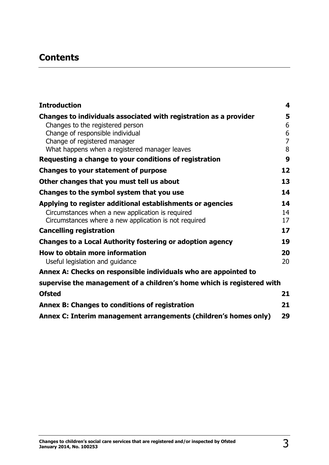# **Contents**

| <b>Introduction</b>                                                           | $\overline{\mathbf{4}}$ |
|-------------------------------------------------------------------------------|-------------------------|
| Changes to individuals associated with registration as a provider             | 5                       |
| Changes to the registered person                                              | 6                       |
| Change of responsible individual                                              | 6                       |
| Change of registered manager<br>What happens when a registered manager leaves | $\overline{7}$<br>8     |
| Requesting a change to your conditions of registration                        | 9                       |
| <b>Changes to your statement of purpose</b>                                   | 12                      |
| Other changes that you must tell us about                                     | 13                      |
| Changes to the symbol system that you use                                     | 14                      |
| Applying to register additional establishments or agencies                    | 14                      |
| Circumstances when a new application is required                              | 14                      |
| Circumstances where a new application is not required                         | 17                      |
| <b>Cancelling registration</b>                                                | 17                      |
| <b>Changes to a Local Authority fostering or adoption agency</b>              | 19                      |
| <b>How to obtain more information</b>                                         | 20                      |
| Useful legislation and guidance                                               | 20                      |
| Annex A: Checks on responsible individuals who are appointed to               |                         |
| supervise the management of a children's home which is registered with        |                         |
| <b>Ofsted</b>                                                                 | 21                      |
| Annex B: Changes to conditions of registration                                | 21                      |
| Annex C: Interim management arrangements (children's homes only)              | 29                      |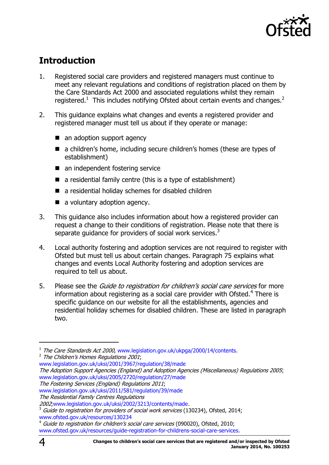

# <span id="page-3-0"></span>**Introduction**

- 1. Registered social care providers and registered managers must continue to meet any relevant regulations and conditions of registration placed on them by the Care Standards Act 2000 and associated regulations whilst they remain registered.<sup>1</sup> This includes notifying Ofsted about certain events and changes.<sup>2</sup>
- 2. This guidance explains what changes and events a registered provider and registered manager must tell us about if they operate or manage:
	- an adoption support agency
	- a children's home, including secure children's homes (these are types of establishment)
	- an independent fostering service
	- $\blacksquare$  a residential family centre (this is a type of establishment)
	- a residential holiday schemes for disabled children
	- a voluntary adoption agency.
- 3. This guidance also includes information about how a registered provider can request a change to their conditions of registration. Please note that there is separate guidance for providers of social work services.<sup>3</sup>
- 4. Local authority fostering and adoption services are not required to register with Ofsted but must tell us about certain changes. Paragraph 75 explains what changes and events Local Authority fostering and adoption services are required to tell us about.
- 5. Please see the *Guide to registration for children's social care services* for more information about registering as a social care provider with Ofsted. $4$  There is specific guidance on our website for all the establishments, agencies and residential holiday schemes for disabled children. These are listed in paragraph two.

 $\overline{a}$ 

<sup>&</sup>lt;sup>1</sup> The Care Standards Act 2000, [www.legislation.gov.uk/ukpga/2000/14/contents.](http://www.legislation.gov.uk/ukpga/2000/14/contents)  $^2$  The Children's Homes Regulations 2001;

[www.legislation.gov.uk/uksi/2001/3967/regulation/38/made](http://www.legislation.gov.uk/uksi/2001/3967/regulation/38/made)

The Adoption Support Agencies (England) and Adoption Agencies (Miscellaneous) Regulations 2005; [www.legislation.gov.uk/uksi/2005/2720/regulation/27/made](http://www.legislation.gov.uk/uksi/2005/2720/regulation/27/made)

The Fostering Services (England) Regulations 2011;

[www.legislation.gov.uk/uksi/2011/581/regulation/39/made](http://www.legislation.gov.uk/uksi/2011/581/regulation/39/made)

The Residential Family Centres Regulations

<sup>2002</sup>[;www.legislation.gov.uk/uksi/2002/3213/contents/made.](http://www.legislation.gov.uk/uksi/2002/3213/contents/made)

 $3$  Guide to registration for providers of social work services (130234), Ofsted, 2014; [www.ofsted.gov.uk/resources/130234](http://www.ofsted.gov.uk/resources/130234)

Guide to registration for children's social care services (090020), Ofsted, 2010; [www.ofsted.gov.uk/resources/guide-registration-for-childrens-social-care-services.](http://www.ofsted.gov.uk/resources/guide-registration-for-childrens-social-care-services)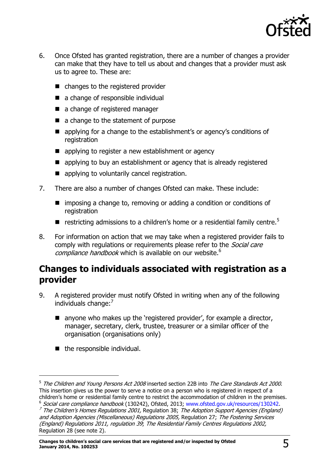

- 6. Once Ofsted has granted registration, there are a number of changes a provider can make that they have to tell us about and changes that a provider must ask us to agree to. These are:
	- changes to the registered provider
	- a change of responsible individual
	- a change of registered manager
	- a change to the statement of purpose
	- **E** applying for a change to the establishment's or agency's conditions of registration
	- **E** applying to register a new establishment or agency
	- **E** applying to buy an establishment or agency that is already registered
	- **E** applying to voluntarily cancel registration.
- 7. There are also a number of changes Ofsted can make. These include:
	- imposing a change to, removing or adding a condition or conditions of registration
	- restricting admissions to a children's home or a residential family centre.<sup>5</sup>
- 8. For information on action that we may take when a registered provider fails to comply with regulations or requirements please refer to the *Social care*  $compliance$  handbook which is available on our website.<sup>6</sup>

# <span id="page-4-0"></span>**Changes to individuals associated with registration as a provider**

- 9. A registered provider must notify Ofsted in writing when any of the following individuals change: $<sup>7</sup>$ </sup>
	- $\blacksquare$  anyone who makes up the 'registered provider', for example a director, manager, secretary, clerk, trustee, treasurer or a similar officer of the organisation (organisations only)
	- the responsible individual.

 $\overline{a}$ 

<sup>&</sup>lt;sup>5</sup> The Children and Young Persons Act 2008 inserted section 22B into The Care Standards Act 2000. This insertion gives us the power to serve a notice on a person who is registered in respect of a children's home or residential family centre to restrict the accommodation of children in the premises. <sup>6</sup> Social care compliance handbook (130242), Ofsted, 2013; [www.ofsted.gov.uk/resources/130242.](http://www.ofsted.gov.uk/resources/130242)

<sup>&</sup>lt;sup>7</sup> The Children's Homes Regulations 2001, Regulation 38; The Adoption Support Agencies (England) and Adoption Agencies (Miscellaneous) Regulations 2005, Regulation 27; The Fostering Services (England) Regulations 2011, regulation 39; The Residential Family Centres Regulations 2002, Regulation 28 (see note 2).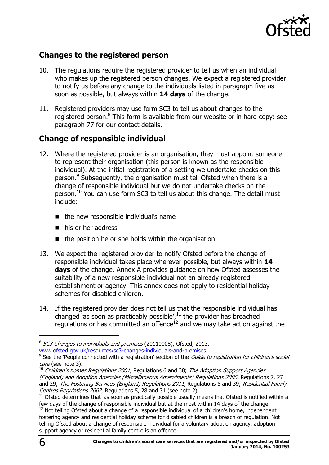

### <span id="page-5-0"></span>**Changes to the registered person**

- 10. The regulations require the registered provider to tell us when an individual who makes up the registered person changes. We expect a registered provider to notify us before any change to the individuals listed in paragraph five as soon as possible, but always within **14 days** of the change.
- 11. Registered providers may use form SC3 to tell us about changes to the registered person.<sup>8</sup> This form is available from our website or in hard copy: see paragraph 77 for our contact details.

### <span id="page-5-1"></span>**Change of responsible individual**

- 12. Where the registered provider is an organisation, they must appoint someone to represent their organisation (this person is known as the responsible individual). At the initial registration of a setting we undertake checks on this person.<sup>9</sup> Subsequently, the organisation must tell Ofsted when there is a change of responsible individual but we do not undertake checks on the person.<sup>10</sup> You can use form SC3 to tell us about this change. The detail must include:
	- $\blacksquare$  the new responsible individual's name
	- his or her address
	- $\blacksquare$  the position he or she holds within the organisation.
- 13. We expect the registered provider to notify Ofsted before the change of responsible individual takes place wherever possible, but always within **14 days** of the change. Annex A provides guidance on how Ofsted assesses the suitability of a new responsible individual not an already registered establishment or agency. This annex does not apply to residential holiday schemes for disabled children.
- 14. If the registered provider does not tell us that the responsible individual has changed 'as soon as practicably possible', $^{11}$  the provider has breached regulations or has committed an offence<sup>12</sup> and we may take action against the

<sup>&</sup>lt;sup>8</sup> SC3 Changes to individuals and premises (20110008), Ofsted, 2013;

www.ofsted.gov.uk/resources/sc3-changes-individuals-and-premises<br><sup>9</sup> See the 'People connected with a registration' section of the *Guide to registration for children's social* care (see note 3).

 $10$  Children's homes Regulations 2001, Regulations 6 and 38; The Adoption Support Agencies (England) and Adoption Agencies (Miscellaneous Amendments) Regulations 2005, Regulations 7, 27 and 29; The Fostering Services (England) Regulations 2011, Regulations 5 and 39; Residential Family Centres Regulations 2002, Regulations 5, 28 and 31 (see note 2).

 $11$  Ofsted determines that 'as soon as practically possible usually means that Ofsted is notified within a few days of the change of responsible individual but at the most within 14 days of the change.

 $12$  Not telling Ofsted about a change of a responsible individual of a children's home, independent fostering agency and residential holiday scheme for disabled children is a breach of regulation. Not telling Ofsted about a change of responsible individual for a voluntary adoption agency, adoption support agency or residential family centre is an offence.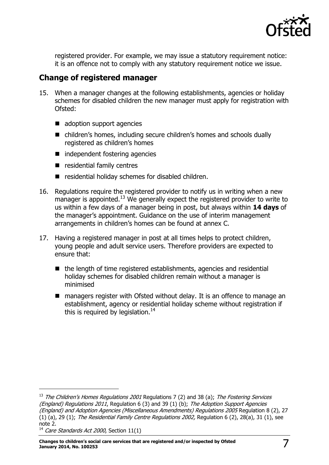

registered provider. For example, we may issue a statutory requirement notice: it is an offence not to comply with any statutory requirement notice we issue.

### <span id="page-6-0"></span>**Change of registered manager**

- 15. When a manager changes at the following establishments, agencies or holiday schemes for disabled children the new manager must apply for registration with Ofsted:
	- adoption support agencies
	- children's homes, including secure children's homes and schools dually registered as children's homes
	- independent fostering agencies
	- $\blacksquare$  residential family centres
	- residential holiday schemes for disabled children.
- 16. Regulations require the registered provider to notify us in writing when a new manager is appointed.<sup>13</sup> We generally expect the registered provider to write to us within a few days of a manager being in post, but always within **14 days** of the manager's appointment. Guidance on the use of interim management arrangements in children's homes can be found at annex C.
- 17. Having a registered manager in post at all times helps to protect children, young people and adult service users. Therefore providers are expected to ensure that:
	- $\blacksquare$  the length of time registered establishments, agencies and residential holiday schemes for disabled children remain without a manager is minimised
	- managers register with Ofsted without delay. It is an offence to manage an establishment, agency or residential holiday scheme without registration if this is required by legislation.<sup>14</sup>

-

<sup>&</sup>lt;sup>13</sup> The Children's Homes Regulations 2001 Regulations 7 (2) and 38 (a); The Fostering Services (England) Regulations 2011, Regulation 6 (3) and 39 (1) (b); The Adoption Support Agencies (England) and Adoption Agencies (Miscellaneous Amendments) Regulations 2005 Regulation 8 (2), 27 (1) (a), 29 (1); The Residential Family Centre Regulations 2002, Regulation 6 (2), 28(a), 31 (1), see note 2.

<sup>&</sup>lt;sup>14</sup> Care Standards Act 2000, Section 11(1)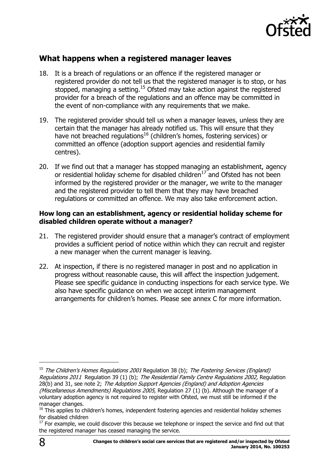

### <span id="page-7-0"></span>**What happens when a registered manager leaves**

- 18. It is a breach of regulations or an offence if the registered manager or registered provider do not tell us that the registered manager is to stop, or has stopped, managing a setting.<sup>15</sup> Ofsted may take action against the registered provider for a breach of the regulations and an offence may be committed in the event of non-compliance with any requirements that we make.
- 19. The registered provider should tell us when a manager leaves, unless they are certain that the manager has already notified us. This will ensure that they have not breached regulations<sup>16</sup> (children's homes, fostering services) or committed an offence (adoption support agencies and residential family centres).
- 20. If we find out that a manager has stopped managing an establishment, agency or residential holiday scheme for disabled children $17$  and Ofsted has not been informed by the registered provider or the manager, we write to the manager and the registered provider to tell them that they may have breached regulations or committed an offence. We may also take enforcement action.

### **How long can an establishment, agency or residential holiday scheme for disabled children operate without a manager?**

- 21. The registered provider should ensure that a manager's contract of employment provides a sufficient period of notice within which they can recruit and register a new manager when the current manager is leaving.
- 22. At inspection, if there is no registered manager in post and no application in progress without reasonable cause, this will affect the inspection judgement. Please see specific guidance in conducting inspections for each service type. We also have specific guidance on when we accept interim management arrangements for children's homes. Please see annex C for more information.

<sup>&</sup>lt;sup>15</sup> The Children's Homes Regulations 2001 Regulation 38 (b); The Fostering Services (England) Regulations 2011 Regulation 39 (1) (b); The Residential Family Centre Regulations 2002, Regulation 28(b) and 31, see note 2; The Adoption Support Agencies (England) and Adoption Agencies (Miscellaneous Amendments) Regulations 2005, Regulation 27 (1) (b). Although the manager of a voluntary adoption agency is not required to register with Ofsted, we must still be informed if the manager changes.

<sup>&</sup>lt;sup>16</sup> This applies to children's homes, independent fostering agencies and residential holiday schemes for disabled children

 $17$  For example, we could discover this because we telephone or inspect the service and find out that the registered manager has ceased managing the service.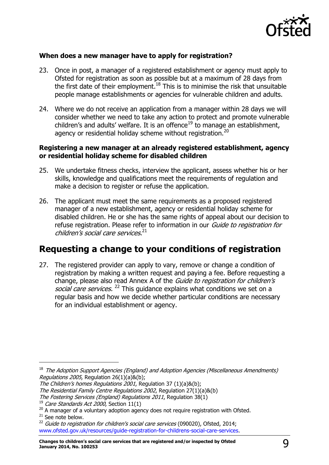

### **When does a new manager have to apply for registration?**

- 23. Once in post, a manager of a registered establishment or agency must apply to Ofsted for registration as soon as possible but at a maximum of 28 days from the first date of their employment.<sup>18</sup> This is to minimise the risk that unsuitable people manage establishments or agencies for vulnerable children and adults.
- 24. Where we do not receive an application from a manager within 28 days we will consider whether we need to take any action to protect and promote vulnerable children's and adults' welfare. It is an offence<sup>19</sup> to manage an establishment, agency or residential holiday scheme without registration.<sup>20</sup>

#### **Registering a new manager at an already registered establishment, agency or residential holiday scheme for disabled children**

- 25. We undertake fitness checks, interview the applicant, assess whether his or her skills, knowledge and qualifications meet the requirements of regulation and make a decision to register or refuse the application.
- 26. The applicant must meet the same requirements as a proposed registered manager of a new establishment, agency or residential holiday scheme for disabled children. He or she has the same rights of appeal about our decision to refuse registration. Please refer to information in our Guide to registration for children's social care services. 21

# <span id="page-8-0"></span>**Requesting a change to your conditions of registration**

27. The registered provider can apply to vary, remove or change a condition of registration by making a written request and paying a fee. Before requesting a change, please also read Annex A of the *Guide to registration for children's* social care services. <sup>22</sup> This guidance explains what conditions we set on a regular basis and how we decide whether particular conditions are necessary for an individual establishment or agency.

<sup>&</sup>lt;sup>18</sup> The Adoption Support Agencies (England) and Adoption Agencies (Miscellaneous Amendments) Regulations 2005, Regulation 26(1)(a)&(b);

The Children's homes Regulations 2001, Regulation 37 (1)(a)&(b);

The Residential Family Centre Regulations 2002, Regulation 27(1)(a)&(b)

The Fostering Services (England) Regulations 2011, Regulation 38(1)

 $19$  Care Standards Act 2000, Section 11(1)

 $20$  A manager of a voluntary adoption agency does not require registration with Ofsted.

<sup>&</sup>lt;sup>21</sup> See note below.

 $^{22}$  Guide to registration for children's social care services (090020), Ofsted, 2014; [www.ofsted.gov.uk/resources/guide-registration-for-childrens-social-care-services.](http://www.ofsted.gov.uk/resources/guide-registration-for-childrens-social-care-services)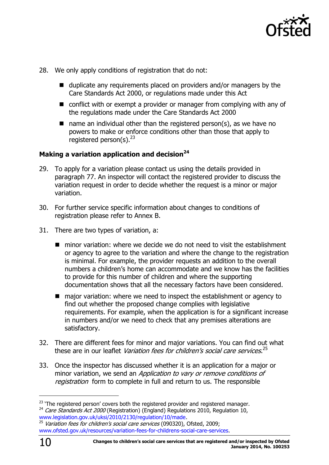

- 28. We only apply conditions of registration that do not:
	- $\blacksquare$  duplicate any requirements placed on providers and/or managers by the Care Standards Act 2000, or regulations made under this Act
	- conflict with or exempt a provider or manager from complying with any of the regulations made under the Care Standards Act 2000
	- $\blacksquare$  name an individual other than the registered person(s), as we have no powers to make or enforce conditions other than those that apply to registered person(s).  $23$

### **Making a variation application and decision<sup>24</sup>**

- 29. To apply for a variation please contact us using the details provided in paragraph 77. An inspector will contact the registered provider to discuss the variation request in order to decide whether the request is a minor or major variation.
- 30. For further service specific information about changes to conditions of registration please refer to Annex B.
- 31. There are two types of variation, a:
	- $\blacksquare$  minor variation: where we decide we do not need to visit the establishment or agency to agree to the variation and where the change to the registration is minimal. For example, the provider requests an addition to the overall numbers a children's home can accommodate and we know has the facilities to provide for this number of children and where the supporting documentation shows that all the necessary factors have been considered.
	- major variation: where we need to inspect the establishment or agency to find out whether the proposed change complies with legislative requirements. For example, when the application is for a significant increase in numbers and/or we need to check that any premises alterations are satisfactory.
- 32. There are different fees for minor and major variations. You can find out what these are in our leaflet *Variation fees for children's social care services*.<sup>25</sup>
- 33. Once the inspector has discussed whether it is an application for a major or minor variation, we send an *Application to vary or remove conditions of* registration form to complete in full and return to us. The responsible

<sup>&</sup>lt;sup>23</sup> 'The registered person' covers both the registered provider and registered manager.

 $24$  Care Standards Act 2000 (Registration) (England) Regulations 2010, Regulation 10, [www.legislation.gov.uk/uksi/2010/2130/regulation/10/made.](http://www.legislation.gov.uk/uksi/2010/2130/regulation/10/made)

Variation fees for children's social care services (090320), Ofsted, 2009; [www.ofsted.gov.uk/resources/variation-fees-for-childrens-social-care-services.](http://www.ofsted.gov.uk/resources/variation-fees-for-childrens-social-care-services)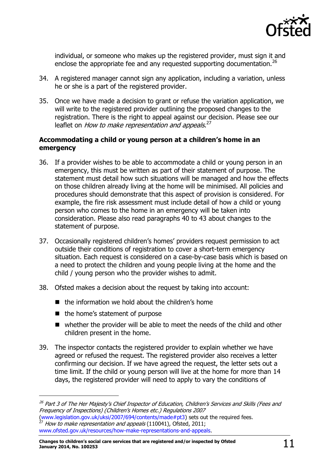

individual, or someone who makes up the registered provider, must sign it and enclose the appropriate fee and any requested supporting documentation.<sup>26</sup>

- 34. A registered manager cannot sign any application, including a variation, unless he or she is a part of the registered provider.
- 35. Once we have made a decision to grant or refuse the variation application, we will write to the registered provider outlining the proposed changes to the registration. There is the right to appeal against our decision. Please see our leaflet on *How to make representation and appeals*.<sup>27</sup>

### **Accommodating a child or young person at a children's home in an emergency**

- 36. If a provider wishes to be able to accommodate a child or young person in an emergency, this must be written as part of their statement of purpose. The statement must detail how such situations will be managed and how the effects on those children already living at the home will be minimised. All policies and procedures should demonstrate that this aspect of provision is considered. For example, the fire risk assessment must include detail of how a child or young person who comes to the home in an emergency will be taken into consideration. Please also read paragraphs 40 to 43 about changes to the statement of purpose.
- 37. Occasionally registered children's homes' providers request permission to act outside their conditions of registration to cover a short-term emergency situation. Each request is considered on a case-by-case basis which is based on a need to protect the children and young people living at the home and the child / young person who the provider wishes to admit.
- 38. Ofsted makes a decision about the request by taking into account:
	- $\blacksquare$  the information we hold about the children's home
	- $\blacksquare$  the home's statement of purpose

- whether the provider will be able to meet the needs of the child and other children present in the home.
- 39. The inspector contacts the registered provider to explain whether we have agreed or refused the request. The registered provider also receives a letter confirming our decision. If we have agreed the request, the letter sets out a time limit. If the child or young person will live at the home for more than 14 days, the registered provider will need to apply to vary the conditions of

<sup>&</sup>lt;sup>26</sup> Part 3 of The Her Majesty's Chief Inspector of Education, Children's Services and Skills (Fees and Frequency of Inspections) (Children's Homes etc.) Regulations 2007

[<sup>\(</sup>www.legislation.gov.uk/uksi/2007/694/contents/made#pt3\)](http://www.legislation.gov.uk/uksi/2007/694/contents/made#pt3) sets out the required fees. How to make representation and appeals (110041), Ofsted, 2011; [www.ofsted.gov.uk/resources/how-make-representations-and-appeals.](http://www.ofsted.gov.uk/resources/how-make-representations-and-appeals)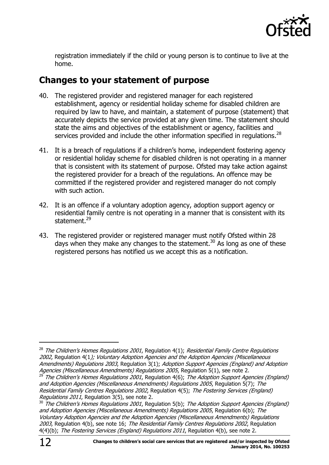

registration immediately if the child or young person is to continue to live at the home.

# <span id="page-11-0"></span>**Changes to your statement of purpose**

- 40. The registered provider and registered manager for each registered establishment, agency or residential holiday scheme for disabled children are required by law to have, and maintain, a statement of purpose (statement) that accurately depicts the service provided at any given time. The statement should state the aims and objectives of the establishment or agency, facilities and services provided and include the other information specified in regulations.<sup>28</sup>
- 41. It is a breach of regulations if a children's home, independent fostering agency or residential holiday scheme for disabled children is not operating in a manner that is consistent with its statement of purpose. Ofsted may take action against the registered provider for a breach of the regulations. An offence may be committed if the registered provider and registered manager do not comply with such action.
- 42. It is an offence if a voluntary adoption agency, adoption support agency or residential family centre is not operating in a manner that is consistent with its statement.<sup>29</sup>
- 43. The registered provider or registered manager must notify Ofsted within 28 days when they make any changes to the statement.<sup>30</sup> As long as one of these registered persons has notified us we accept this as a notification.

 $\overline{a}$ 

 $28$  The Children's Homes Regulations 2001, Regulation 4(1); Residential Family Centre Regulations 2002, Regulation 4(1); Voluntary Adoption Agencies and the Adoption Agencies (Miscellaneous Amendments) Regulations 2003, Regulation 3(1); Adoption Support Agencies (England) and Adoption Agencies (Miscellaneous Amendments) Regulations 2005, Regulation 5(1), see note 2.

<sup>&</sup>lt;sup>29</sup> The Children's Homes Regulations 2001, Regulation 4(6); The Adoption Support Agencies (England) and Adoption Agencies (Miscellaneous Amendments) Regulations 2005, Regulation 5(7); The Residential Family Centres Regulations 2002, Regulation 4(5); The Fostering Services (England) Regulations 2011, Regulation 3(5), see note 2.

 $30$  The Children's Homes Regulations 2001, Regulation 5(b); The Adoption Support Agencies (England) and Adoption Agencies (Miscellaneous Amendments) Regulations 2005, Regulation 6(b); The Voluntary Adoption Agencies and the Adoption Agencies (Miscellaneous Amendments) Regulations 2003, Regulation 4(b), see note 16; The Residential Family Centres Regulations 2002, Regulation 4(4)(b); The Fostering Services (England) Regulations 2011, Regulation 4(b), see note 2.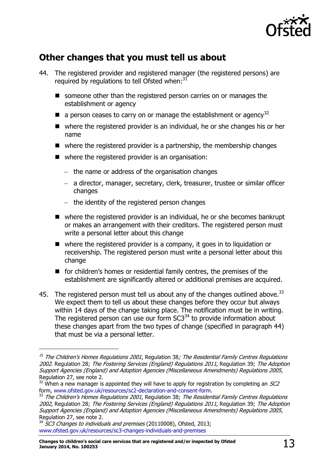

# <span id="page-12-0"></span>**Other changes that you must tell us about**

- 44. The registered provider and registered manager (the registered persons) are required by regulations to tell Ofsted when: $31$ 
	- someone other than the registered person carries on or manages the establishment or agency
	- $\blacksquare$  a person ceases to carry on or manage the establishment or agency<sup>32</sup>
	- where the registered provider is an individual, he or she changes his or her name
	- $\blacksquare$  where the registered provider is a partnership, the membership changes
	- where the registered provider is an organisation:
		- $-$  the name or address of the organisation changes
		- a director, manager, secretary, clerk, treasurer, trustee or similar officer changes
		- $-$  the identity of the registered person changes
	- where the registered provider is an individual, he or she becomes bankrupt or makes an arrangement with their creditors. The registered person must write a personal letter about this change
	- where the registered provider is a company, it goes in to liquidation or receivership. The registered person must write a personal letter about this change
	- for children's homes or residential family centres, the premises of the establishment are significantly altered or additional premises are acquired.
- 45. The registered person must tell us about any of the changes outlined above.<sup>33</sup> We expect them to tell us about these changes before they occur but always within 14 days of the change taking place. The notification must be in writing. The registered person can use our form  $SC3<sup>34</sup>$  to provide information about these changes apart from the two types of change (specified in paragraph 44) that must be via a personal letter.

-

<sup>&</sup>lt;sup>31</sup> The Children's Homes Regulations 2001, Regulation 38; The Residential Family Centres Regulations [2002](http://www.opsi.gov.uk/si/si2002/20023213.htm#28). Regulation 28; [The Fostering Services \(England\) Regulations 201](http://www.opsi.gov.uk/si/si2002/20020057.htm#46)1, Regulation 39; The Adoption Support Agencies (England) and Adoption Agencies (Miscellaneous Amendments) Regulations 2005, Regulation 27, see note 2.

 $32$  When a new manager is appointed they will have to apply for registration by completing an  $SC2$ form, [www.ofsted.gov.uk/resources/sc2-declaration-and-consent-form.](http://www.ofsted.gov.uk/resources/sc2-declaration-and-consent-form)

<sup>&</sup>lt;sup>33</sup> [The Children's Homes Regulations 2001](http://www.opsi.gov.uk/si/si2001/20013967.htm#38), Regulation 38; The Residential Family Centres Regulations [2002](http://www.opsi.gov.uk/si/si2002/20023213.htm#28), Regulation 28; [The Fostering Services](http://www.opsi.gov.uk/si/si2002/20020057.htm#46) (England) Regulations 2011, Regulation 39; The Adoption [Support Agencies \(England\) and Adoption Agencies \(Miscellaneous Amendments\) Regulations 2005](http://www.opsi.gov.uk/si/si2005/20052720.htm#27), Regulation 27, see note 2.

 $34$  SC3 Changes to individuals and premises (20110008), Ofsted, 2013; [www.ofsted.gov.uk/resources/sc3-changes-individuals-and-premises](http://www.ofsted.gov.uk/resources/sc3-changes-individuals-and-premises)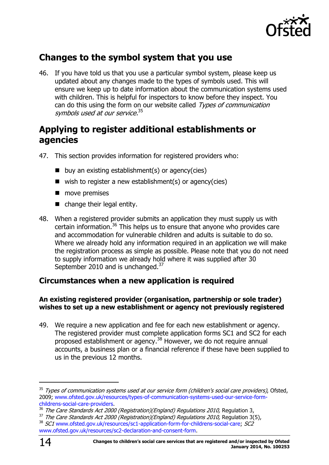

# <span id="page-13-0"></span>**Changes to the symbol system that you use**

46. If you have told us that you use a particular symbol system, please keep us updated about any changes made to the types of symbols used. This will ensure we keep up to date information about the communication systems used with children. This is helpful for inspectors to know before they inspect. You can do this using the form on our website called Types of communication symbols used at our service.<sup>35</sup>

### <span id="page-13-1"></span>**Applying to register additional establishments or agencies**

- 47. This section provides information for registered providers who:
	- $\blacksquare$  buy an existing establishment(s) or agency(cies)
	- $\blacksquare$  wish to register a new establishment(s) or agency(cies)
	- **n** move premises
	- change their legal entity.
- 48. When a registered provider submits an application they must supply us with certain information.<sup>36</sup> This helps us to ensure that anyone who provides care and accommodation for vulnerable children and adults is suitable to do so. Where we already hold any information required in an application we will make the registration process as simple as possible. Please note that you do not need to supply information we already hold where it was supplied after 30 September 2010 and is unchanged.<sup>37</sup>

### <span id="page-13-2"></span>**Circumstances when a new application is required**

### **An existing registered provider (organisation, partnership or sole trader) wishes to set up a new establishment or agency not previously registered**

49. We require a new application and fee for each new establishment or agency. The registered provider must complete application forms SC1 and SC2 for each proposed establishment or agency.<sup>38</sup> However, we do not require annual accounts, a business plan or a financial reference if these have been supplied to us in the previous 12 months.

-

<sup>&</sup>lt;sup>35</sup> Types of communication systems used at our service form (children's social care providers), Ofsted, 2009; [www.ofsted.gov.uk/resources/types-of-communication-systems-used-our-service-form](http://www.ofsted.gov.uk/resources/types-of-communication-systems-used-our-service-form-childrens-social-care-providers)[childrens-social-care-providers.](http://www.ofsted.gov.uk/resources/types-of-communication-systems-used-our-service-form-childrens-social-care-providers)

<sup>&</sup>lt;sup>36</sup> The Care Standards Act 2000 (Registration)(England) Regulations 2010, Regulation 3,

<sup>&</sup>lt;sup>37</sup> The Care Standards Act 2000 (Registration)(England) Regulations 2010, Regulation 3(5),

<sup>&</sup>lt;sup>38</sup> SC1 [www.ofsted.gov.uk/resources/sc1-application-form-for-childrens-social-care;](http://www.ofsted.gov.uk/resources/sc1-application-form-for-childrens-social-care) SC2

[www.ofsted.gov.uk/resources/sc2-declaration-and-consent-form.](http://www.ofsted.gov.uk/resources/sc2-declaration-and-consent-form)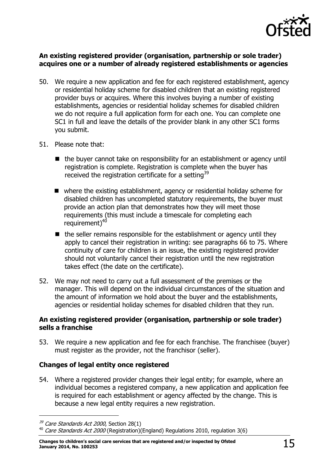

#### **An existing registered provider (organisation, partnership or sole trader) acquires one or a number of already registered establishments or agencies**

- 50. We require a new application and fee for each registered establishment, agency or residential holiday scheme for disabled children that an existing registered provider buys or acquires. Where this involves buying a number of existing establishments, agencies or residential holiday schemes for disabled children we do not require a full application form for each one. You can complete one SC1 in full and leave the details of the provider blank in any other SC1 forms you submit.
- 51. Please note that:
	- the buyer cannot take on responsibility for an establishment or agency until registration is complete. Registration is complete when the buyer has received the registration certificate for a setting<sup>39</sup>
	- where the existing establishment, agency or residential holiday scheme for disabled children has uncompleted statutory requirements, the buyer must provide an action plan that demonstrates how they will meet those requirements (this must include a timescale for completing each requirement)<sup>40</sup>
	- $\blacksquare$  the seller remains responsible for the establishment or agency until they apply to cancel their registration in writing: see paragraphs 66 to 75. Where continuity of care for children is an issue, the existing registered provider should not voluntarily cancel their registration until the new registration takes effect (the date on the certificate).
- 52. We may not need to carry out a full assessment of the premises or the manager. This will depend on the individual circumstances of the situation and the amount of information we hold about the buyer and the establishments, agencies or residential holiday schemes for disabled children that they run.

#### **An existing registered provider (organisation, partnership or sole trader) sells a franchise**

53. We require a new application and fee for each franchise. The franchisee (buyer) must register as the provider, not the franchisor (seller).

### **Changes of legal entity once registered**

54. Where a registered provider changes their legal entity; for example, where an individual becomes a registered company, a new application and application fee is required for each establishment or agency affected by the change. This is because a new legal entity requires a new registration.

 $39$  Care Standards Act 2000, Section 28(1)

 $40$  Care Standards Act 2000 (Registration)(England) Regulations 2010, regulation 3(6)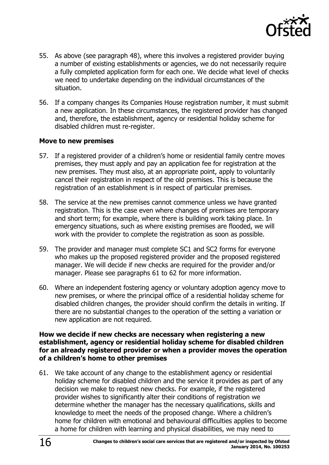

- 55. As above (see paragraph 48), where this involves a registered provider buying a number of existing establishments or agencies, we do not necessarily require a fully completed application form for each one. We decide what level of checks we need to undertake depending on the individual circumstances of the situation.
- 56. If a company changes its Companies House registration number, it must submit a new application. In these circumstances, the registered provider has changed and, therefore, the establishment, agency or residential holiday scheme for disabled children must re-register.

#### **Move to new premises**

- 57. If a registered provider of a children's home or residential family centre moves premises, they must apply and pay an application fee for registration at the new premises. They must also, at an appropriate point, apply to voluntarily cancel their registration in respect of the old premises. This is because the registration of an establishment is in respect of particular premises.
- 58. The service at the new premises cannot commence unless we have granted registration. This is the case even where changes of premises are temporary and short term; for example, where there is building work taking place. In emergency situations, such as where existing premises are flooded, we will work with the provider to complete the registration as soon as possible.
- 59. The provider and manager must complete SC1 and SC2 forms for everyone who makes up the proposed registered provider and the proposed registered manager. We will decide if new checks are required for the provider and/or manager. Please see paragraphs 61 to 62 for more information.
- 60. Where an independent fostering agency or voluntary adoption agency move to new premises, or where the principal office of a residential holiday scheme for disabled children changes, the provider should confirm the details in writing. If there are no substantial changes to the operation of the setting a variation or new application are not required.

#### **How we decide if new checks are necessary when registering a new establishment, agency or residential holiday scheme for disabled children for an already registered provider or when a provider moves the operation of a children's home to other premises**

61. We take account of any change to the establishment agency or residential holiday scheme for disabled children and the service it provides as part of any decision we make to request new checks. For example, if the registered provider wishes to significantly alter their conditions of registration we determine whether the manager has the necessary qualifications, skills and knowledge to meet the needs of the proposed change. Where a children's home for children with emotional and behavioural difficulties applies to become a home for children with learning and physical disabilities, we may need to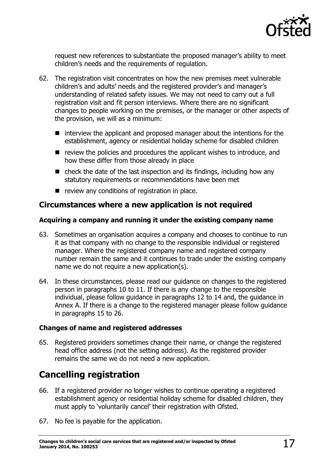

request new references to substantiate the proposed manager's ability to meet children's needs and the requirements of regulation.

- 62. The registration visit concentrates on how the new premises meet vulnerable children's and adults' needs and the registered provider's and manager's understanding of related safety issues. We may not need to carry out a full registration visit and fit person interviews. Where there are no significant changes to people working on the premises, or the manager or other aspects of the provision, we will as a minimum:
	- $\blacksquare$  interview the applicant and proposed manager about the intentions for the establishment, agency or residential holiday scheme for disabled children
	- $\blacksquare$  review the policies and procedures the applicant wishes to introduce, and how these differ from those already in place
	- check the date of the last inspection and its findings, including how any statutory requirements or recommendations have been met
	- $\blacksquare$  review any conditions of registration in place.

### <span id="page-16-0"></span>**Circumstances where a new application is not required**

### **Acquiring a company and running it under the existing company name**

- 63. Sometimes an organisation acquires a company and chooses to continue to run it as that company with no change to the responsible individual or registered manager. Where the registered company name and registered company number remain the same and it continues to trade under the existing company name we do not require a new application(s).
- 64. In these circumstances, please read our guidance on changes to the registered person in paragraphs 10 to 11. If there is any change to the responsible individual, please follow guidance in paragraphs 12 to 14 and, the guidance in Annex A. If there is a change to the registered manager please follow guidance in paragraphs 15 to 26.

### **Changes of name and registered addresses**

65. Registered providers sometimes change their name, or change the registered head office address (not the setting address). As the registered provider remains the same we do not need a new application.

# <span id="page-16-1"></span>**Cancelling registration**

- 66. If a registered provider no longer wishes to continue operating a registered establishment agency or residential holiday scheme for disabled children, they must apply to 'voluntarily cancel' their registration with Ofsted.
- 67. No fee is payable for the application.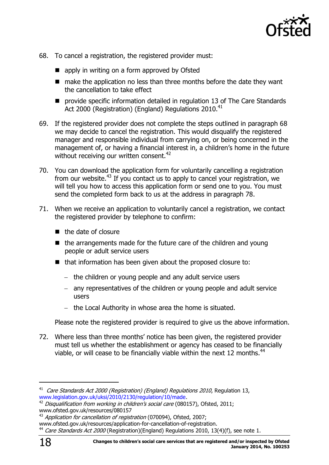

- 68. To cancel a registration, the registered provider must:
	- apply in writing on a form approved by Ofsted
	- make the application no less than three months before the date they want the cancellation to take effect
	- **P** provide specific information detailed in regulation 13 of The Care Standards Act 2000 (Registration) (England) Regulations 2010.<sup>41</sup>
- 69. If the registered provider does not complete the steps outlined in paragraph 68 we may decide to cancel the registration. This would disqualify the registered manager and responsible individual from carrying on, or being concerned in the management of, or having a financial interest in, a children's home in the future without receiving our written consent.<sup>42</sup>
- 70. You can download the application form for voluntarily cancelling a registration from our website.<sup>43</sup> If you contact us to apply to cancel your registration, we will tell you how to access this application form or send one to you. You must send the completed form back to us at the address in paragraph 78.
- 71. When we receive an application to voluntarily cancel a registration, we contact the registered provider by telephone to confirm:
	- $\blacksquare$  the date of closure
	- $\blacksquare$  the arrangements made for the future care of the children and young people or adult service users
	- that information has been given about the proposed closure to:
		- $-$  the children or young people and any adult service users
		- any representatives of the children or young people and adult service users
		- $-$  the Local Authority in whose area the home is situated.

Please note the registered provider is required to give us the above information.

72. Where less than three months' notice has been given, the registered provider must tell us whether the establishment or agency has ceased to be financially viable, or will cease to be financially viable within the next 12 months. $44$ 

-

<sup>&</sup>lt;sup>41</sup> Care Standards Act 2000 (Registration) (England) Regulations 2010, Regulation 13, [www.legislation.gov.uk/uksi/2010/2130/regulation/10/made.](http://www.legislation.gov.uk/uksi/2010/2130/regulation/10/made)

 $42$  Disqualification from working in children's social care (080157), Ofsted, 2011; [www.ofsted.gov.uk/resources/080157](http://www.ofsted.gov.uk/resources/080157)

<sup>&</sup>lt;sup>43</sup> Application for cancellation of registration (070094), Ofsted, 2007;

[www.ofsted.gov.uk/resources/application-for-cancellation-of-registration.](http://www.ofsted.gov.uk/resources/application-for-cancellation-of-registration)

<sup>&</sup>lt;sup>44</sup> Care Standards Act 2000 (Registration)(England) Regulations 2010, 13(4)(f), see note 1.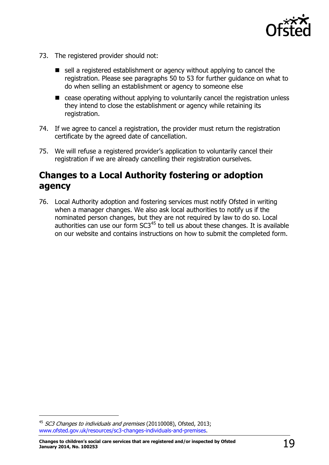

- 73. The registered provider should not:
	- sell a registered establishment or agency without applying to cancel the registration. Please see paragraphs 50 to 53 for further guidance on what to do when selling an establishment or agency to someone else
	- cease operating without applying to voluntarily cancel the registration unless they intend to close the establishment or agency while retaining its registration.
- 74. If we agree to cancel a registration, the provider must return the registration certificate by the agreed date of cancellation.
- 75. We will refuse a registered provider's application to voluntarily cancel their registration if we are already cancelling their registration ourselves.

### <span id="page-18-0"></span>**Changes to a Local Authority fostering or adoption agency**

76. Local Authority adoption and fostering services must notify Ofsted in writing when a manager changes. We also ask local authorities to notify us if the nominated person changes, but they are not required by law to do so. Local authorities can use our form SC3<sup>45</sup> to tell us about these changes. It is available on our website and contains instructions on how to submit the completed form.

<sup>&</sup>lt;sup>45</sup> SC3 Changes to individuals and premises (20110008), Ofsted, 2013; [www.ofsted.gov.uk/resources/sc3-changes-individuals-and-premises.](http://www.ofsted.gov.uk/resources/sc3-changes-individuals-and-premises)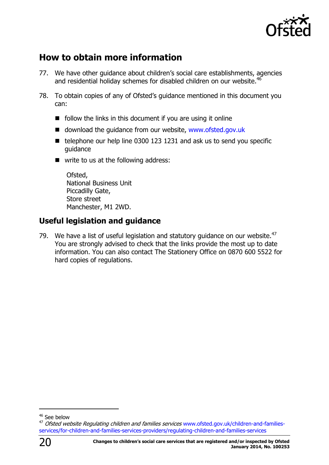

# <span id="page-19-0"></span>**How to obtain more information**

- 77. We have other guidance about children's social care establishments, agencies and residential holiday schemes for disabled children on our website.<sup>46</sup>
- 78. To obtain copies of any of Ofsted's guidance mentioned in this document you can:
	- $\blacksquare$  follow the links in this document if you are using it online
	- download the quidance from our website, [www.ofsted.gov.uk](http://www.ofsted.gov.uk/)
	- $\blacksquare$  telephone our help line 0300 123 1231 and ask us to send you specific guidance
	- write to us at the following address:

Ofsted, National Business Unit Piccadilly Gate, Store street Manchester, M1 2WD.

### <span id="page-19-1"></span>**Useful legislation and guidance**

79. We have a list of useful legislation and statutory guidance on our website. $47$ You are strongly advised to check that the links provide the most up to date information. You can also contact The Stationery Office on 0870 600 5522 for hard copies of regulations.

<sup>47</sup> Ofsted website Regulating children and families services www.ofsted.gov.uk/children-and-familiesservices/for-children-and-families-services-providers/regulating-children-and-families-services



 $\overline{a}$ 

<sup>&</sup>lt;sup>46</sup> See below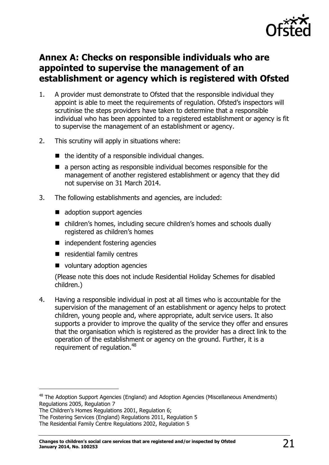

# <span id="page-20-0"></span>**Annex A: Checks on responsible individuals who are appointed to supervise the management of an establishment or agency which is registered with Ofsted**

- <span id="page-20-1"></span>1. A provider must demonstrate to Ofsted that the responsible individual they appoint is able to meet the requirements of regulation. Ofsted's inspectors will scrutinise the steps providers have taken to determine that a responsible individual who has been appointed to a registered establishment or agency is fit to supervise the management of an establishment or agency.
- 2. This scrutiny will apply in situations where:
	- $\blacksquare$  the identity of a responsible individual changes.
	- a person acting as responsible individual becomes responsible for the management of another registered establishment or agency that they did not supervise on 31 March 2014.
- 3. The following establishments and agencies, are included:
	- adoption support agencies
	- children's homes, including secure children's homes and schools dually registered as children's homes
	- independent fostering agencies
	- **E** residential family centres
	- voluntary adoption agencies

(Please note this does not include Residential Holiday Schemes for disabled children.)

4. Having a responsible individual in post at all times who is accountable for the supervision of the management of an establishment or agency helps to protect children, young people and, where appropriate, adult service users. It also supports a provider to improve the quality of the service they offer and ensures that the organisation which is registered as the provider has a direct link to the operation of the establishment or agency on the ground. Further, it is a requirement of requlation.<sup>48</sup>

-

<sup>&</sup>lt;sup>48</sup> The Adoption Support Agencies (England) and Adoption Agencies (Miscellaneous Amendments) Regulations 2005, Regulation 7

The Children's Homes Regulations 2001, Regulation 6;

The Fostering Services (England) Regulations 2011, Regulation 5

The Residential Family Centre Regulations 2002, Regulation 5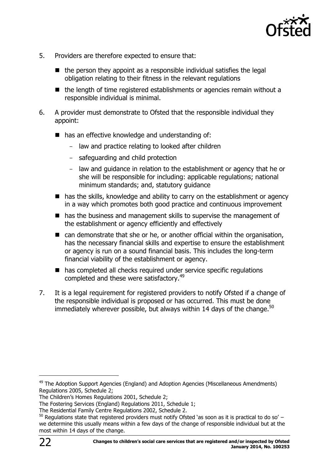

- 5. Providers are therefore expected to ensure that:
	- $\blacksquare$  the person they appoint as a responsible individual satisfies the legal obligation relating to their fitness in the relevant regulations
	- $\blacksquare$  the length of time registered establishments or agencies remain without a responsible individual is minimal.
- 6. A provider must demonstrate to Ofsted that the responsible individual they appoint:
	- has an effective knowledge and understanding of:
		- law and practice relating to looked after children
		- safeguarding and child protection
		- law and guidance in relation to the establishment or agency that he or she will be responsible for including: applicable regulations; national minimum standards; and, statutory guidance
	- has the skills, knowledge and ability to carry on the establishment or agency in a way which promotes both good practice and continuous improvement
	- has the business and management skills to supervise the management of the establishment or agency efficiently and effectively
	- can demonstrate that she or he, or another official within the organisation, has the necessary financial skills and expertise to ensure the establishment or agency is run on a sound financial basis. This includes the long-term financial viability of the establishment or agency.
	- has completed all checks required under service specific regulations completed and these were satisfactory.<sup>49</sup>
- 7. It is a legal requirement for registered providers to notify Ofsted if a change of the responsible individual is proposed or has occurred. This must be done immediately wherever possible, but always within 14 days of the change. $50$

 $\overline{a}$ 

 $49$  The Adoption Support Agencies (England) and Adoption Agencies (Miscellaneous Amendments) Regulations 2005, Schedule 2;

The Children's Homes Regulations 2001, Schedule 2;

The Fostering Services (England) Regulations 2011, Schedule 1;

The Residential Family Centre Regulations 2002, Schedule 2.

 $50$  Requlations state that registered providers must notify Ofsted 'as soon as it is practical to do so' – we determine this usually means within a few days of the change of responsible individual but at the most within 14 days of the change.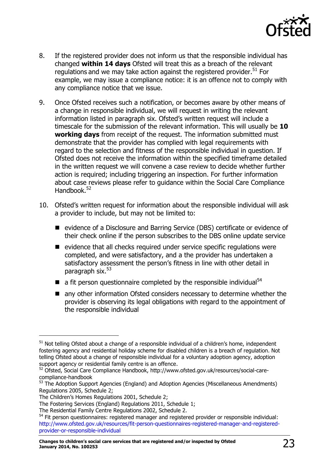

- 8. If the registered provider does not inform us that the responsible individual has changed **within 14 days** Ofsted will treat this as a breach of the relevant regulations and we may take action against the registered provider.<sup>51</sup> For example, we may issue a compliance notice: it is an offence not to comply with any compliance notice that we issue.
- 9. Once Ofsted receives such a notification, or becomes aware by other means of a change in responsible individual, we will request in writing the relevant information listed in paragraph six. Ofsted's written request will include a timescale for the submission of the relevant information. This will usually be **10 working days** from receipt of the request. The information submitted must demonstrate that the provider has complied with legal requirements with regard to the selection and fitness of the responsible individual in question. If Ofsted does not receive the information within the specified timeframe detailed in the written request we will convene a case review to decide whether further action is required; including triggering an inspection. For further information about case reviews please refer to guidance within the Social Care Compliance Handbook.<sup>52</sup>
- 10. Ofsted's written request for information about the responsible individual will ask a provider to include, but may not be limited to:
	- evidence of a Disclosure and Barring Service (DBS) certificate or evidence of their check online if the person subscribes to the DBS online update service
	- $\blacksquare$  evidence that all checks required under service specific regulations were completed, and were satisfactory, and a the provider has undertaken a satisfactory assessment the person's fitness in line with other detail in paragraph six.<sup>53</sup>
	- a fit person questionnaire completed by the responsible individual<sup>54</sup>
	- any other information Ofsted considers necessary to determine whether the provider is observing its legal obligations with regard to the appointment of the responsible individual

 $51$  Not telling Ofsted about a change of a responsible individual of a children's home, independent fostering agency and residential holiday scheme for disabled children is a breach of regulation. Not telling Ofsted about a change of responsible individual for a voluntary adoption agency, adoption support agency or residential family centre is an offence.

<sup>52</sup> Ofsted, Social Care Compliance Handbook, [http://www.ofsted.gov.uk/resources/social-care](http://www.ofsted.gov.uk/resources/social-care-compliance-handbook)[compliance-handbook](http://www.ofsted.gov.uk/resources/social-care-compliance-handbook)

 $53$  The Adoption Support Agencies (England) and Adoption Agencies (Miscellaneous Amendments) Regulations 2005, Schedule 2;

The Children's Homes Regulations 2001, Schedule 2;

The Fostering Services (England) Regulations 2011, Schedule 1;

The Residential Family Centre Regulations 2002, Schedule 2.

<sup>&</sup>lt;sup>54</sup> Fit person questionnaires: registered manager and registered provider or responsible individual: [http://www.ofsted.gov.uk/resources/fit-person-questionnaires-registered-manager-and-registered](http://www.ofsted.gov.uk/resources/fit-person-questionnaires-registered-manager-and-registered-provider-or-responsible-individual)[provider-or-responsible-individual](http://www.ofsted.gov.uk/resources/fit-person-questionnaires-registered-manager-and-registered-provider-or-responsible-individual)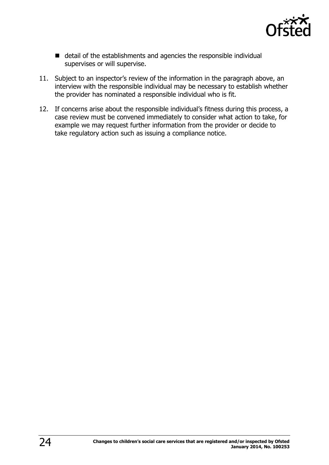

- detail of the establishments and agencies the responsible individual supervises or will supervise.
- 11. Subject to an inspector's review of the information in the paragraph above, an interview with the responsible individual may be necessary to establish whether the provider has nominated a responsible individual who is fit.
- 12. If concerns arise about the responsible individual's fitness during this process, a case review must be convened immediately to consider what action to take, for example we may request further information from the provider or decide to take regulatory action such as issuing a compliance notice.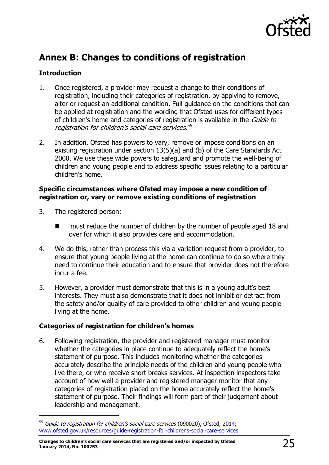

# **Annex B: Changes to conditions of registration**

### **Introduction**

- 1. Once registered, a provider may request a change to their conditions of registration, including their categories of registration, by applying to remove, alter or request an additional condition. Full guidance on the conditions that can be applied at registration and the wording that Ofsted uses for different types of children's home and categories of registration is available in the *Guide to* registration for children's social care services. 55
- 2. In addition, Ofsted has powers to vary, remove or impose conditions on an existing registration under section 13(5)(a) and (b) of the Care Standards Act 2000. We use these wide powers to safeguard and promote the well-being of children and young people and to address specific issues relating to a particular children's home.

#### **Specific circumstances where Ofsted may impose a new condition of registration or, vary or remove existing conditions of registration**

3. The registered person:

j

- must reduce the number of children by the number of people aged 18 and over for which it also provides care and accommodation.
- 4. We do this, rather than process this via a variation request from a provider, to ensure that young people living at the home can continue to do so where they need to continue their education and to ensure that provider does not therefore incur a fee.
- 5. However, a provider must demonstrate that this is in a young adult's best interests. They must also demonstrate that it does not inhibit or detract from the safety and/or quality of care provided to other children and young people living at the home.

### **Categories of registration for children's homes**

6. Following registration, the provider and registered manager must monitor whether the categories in place continue to adequately reflect the home's statement of purpose. This includes monitoring whether the categories accurately describe the principle needs of the children and young people who live there, or who receive short breaks services. At inspection inspectors take account of how well a provider and registered manager monitor that any categories of registration placed on the home accurately reflect the home's statement of purpose. Their findings will form part of their judgement about leadership and management.

<sup>&</sup>lt;sup>55</sup> Guide to registration for children's social care services (090020), Ofsted, 2014; [www.ofsted.gov.uk/resources/guide-registration-for-childrens-social-care-services](http://www.ofsted.gov.uk/resources/guide-registration-for-childrens-social-care-services)

**Changes to children's social care services that are registered and/or inspected by Ofsted January 2014, No. 100253** 25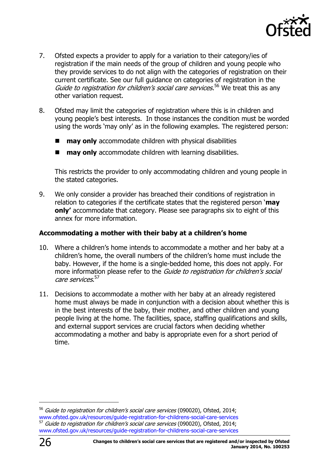

- 7. Ofsted expects a provider to apply for a variation to their category/ies of registration if the main needs of the group of children and young people who they provide services to do not align with the categories of registration on their current certificate. See our full guidance on categories of registration in the Guide to registration for children's social care services.<sup>56</sup> We treat this as any other variation request.
- 8. Ofsted may limit the categories of registration where this is in children and young people's best interests. In those instances the condition must be worded using the words 'may only' as in the following examples. The registered person:
	- **may only** accommodate children with physical disabilities
	- **may only** accommodate children with learning disabilities.

This restricts the provider to only accommodating children and young people in the stated categories.

9. We only consider a provider has breached their conditions of registration in relation to categories if the certificate states that the registered person '**may only'** accommodate that category. Please see paragraphs six to eight of this annex for more information.

### **Accommodating a mother with their baby at a children's home**

- 10. Where a children's home intends to accommodate a mother and her baby at a children's home, the overall numbers of the children's home must include the baby. However, if the home is a single-bedded home, this does not apply. For more information please refer to the Guide to registration for children's social care services. 57
- 11. Decisions to accommodate a mother with her baby at an already registered home must always be made in conjunction with a decision about whether this is in the best interests of the baby, their mother, and other children and young people living at the home. The facilities, space, staffing qualifications and skills, and external support services are crucial factors when deciding whether accommodating a mother and baby is appropriate even for a short period of time.

<sup>&</sup>lt;sup>56</sup> Guide to registration for children's social care services (090020), Ofsted, 2014; [www.ofsted.gov.uk/resources/guide-registration-for-childrens-social-care-services](http://www.ofsted.gov.uk/resources/guide-registration-for-childrens-social-care-services) Guide to registration for children's social care services (090020), Ofsted, 2014; [www.ofsted.gov.uk/resources/guide-registration-for-childrens-social-care-services](http://www.ofsted.gov.uk/resources/guide-registration-for-childrens-social-care-services)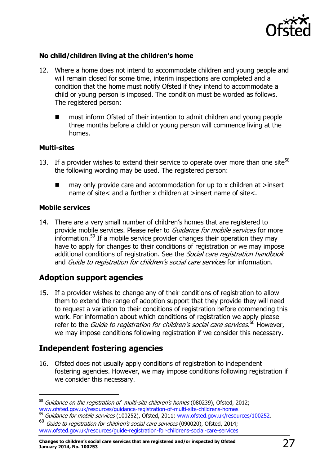

### **No child/children living at the children's home**

- 12. Where a home does not intend to accommodate children and young people and will remain closed for some time, interim inspections are completed and a condition that the home must notify Ofsted if they intend to accommodate a child or young person is imposed. The condition must be worded as follows. The registered person:
	- must inform Ofsted of their intention to admit children and young people three months before a child or young person will commence living at the homes.

#### **Multi-sites**

- 13. If a provider wishes to extend their service to operate over more than one site<sup>58</sup> the following wording may be used. The registered person:
	- $\blacksquare$  may only provide care and accommodation for up to x children at >insert name of site< and a further x children at >insert name of site<.

#### **Mobile services**

-

14. There are a very small number of children's homes that are registered to provide mobile services. Please refer to Guidance for mobile services for more information. <sup>59</sup> If a mobile service provider changes their operation they may have to apply for changes to their conditions of registration or we may impose additional conditions of registration. See the *Social care registration handbook* and Guide to registration for children's social care services for information.

### **Adoption support agencies**

15. If a provider wishes to change any of their conditions of registration to allow them to extend the range of adoption support that they provide they will need to request a variation to their conditions of registration before commencing this work. For information about which conditions of registration we apply please refer to the *Guide to registration for children's social care services.*<sup>60</sup> However, we may impose conditions following registration if we consider this necessary.

### **Independent fostering agencies**

16. Ofsted does not usually apply conditions of registration to independent fostering agencies. However, we may impose conditions following registration if we consider this necessary.

 $58$  Guidance on the registration of multi-site children's homes (080239), Ofsted, 2012; [www.ofsted.gov.uk/resources/guidance-registration-of-multi-site-childrens-homes](http://www.ofsted.gov.uk/resources/guidance-registration-of-multi-site-childrens-homes) <sup>59</sup> Guidance for mobile services (100252), Ofsted, 2011; [www.ofsted.gov.uk/resources/100252.](http://www.ofsted.gov.uk/resources/100252)

<sup>60</sup> Guide to registration for children's social care services (090020), Ofsted, 2014;

[www.ofsted.gov.uk/resources/guide-registration-for-childrens-social-care-services](http://www.ofsted.gov.uk/resources/guide-registration-for-childrens-social-care-services)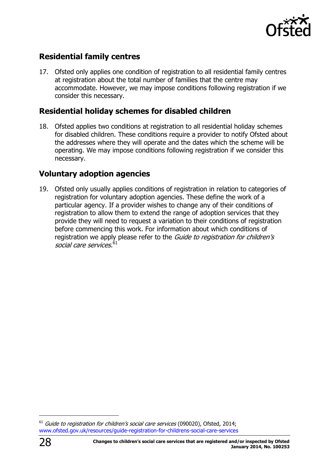

### **Residential family centres**

17. Ofsted only applies one condition of registration to all residential family centres at registration about the total number of families that the centre may accommodate. However, we may impose conditions following registration if we consider this necessary.

### **Residential holiday schemes for disabled children**

18. Ofsted applies two conditions at registration to all residential holiday schemes for disabled children. These conditions require a provider to notify Ofsted about the addresses where they will operate and the dates which the scheme will be operating. We may impose conditions following registration if we consider this necessary.

### **Voluntary adoption agencies**

19. Ofsted only usually applies conditions of registration in relation to categories of registration for voluntary adoption agencies. These define the work of a particular agency. If a provider wishes to change any of their conditions of registration to allow them to extend the range of adoption services that they provide they will need to request a variation to their conditions of registration before commencing this work. For information about which conditions of registration we apply please refer to the Guide to registration for children's social care services. 61

 $61$  Guide to registration for children's social care services (090020), Ofsted, 2014; [www.ofsted.gov.uk/resources/guide-registration-for-childrens-social-care-services](http://www.ofsted.gov.uk/resources/guide-registration-for-childrens-social-care-services)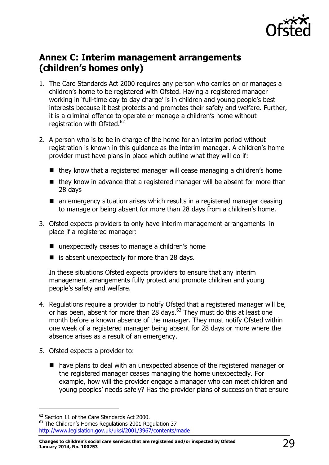

# <span id="page-28-0"></span>**Annex C: Interim management arrangements (children's homes only)**

- 1. The Care Standards Act 2000 requires any person who carries on or manages a children's home to be registered with Ofsted. Having a registered manager working in 'full-time day to day charge' is in children and young people's best interests because it best protects and promotes their safety and welfare. Further, it is a criminal offence to operate or manage a children's home without registration with Ofsted.<sup>62</sup>
- 2. A person who is to be in charge of the home for an interim period without registration is known in this guidance as the interim manager. A children's home provider must have plans in place which outline what they will do if:
	- they know that a registered manager will cease managing a children's home
	- $\blacksquare$  they know in advance that a registered manager will be absent for more than 28 days
	- an emergency situation arises which results in a registered manager ceasing to manage or being absent for more than 28 days from a children's home.
- 3. Ofsted expects providers to only have interim management arrangements in place if a registered manager:
	- unexpectedly ceases to manage a children's home
	- $\blacksquare$  is absent unexpectedly for more than 28 days.

In these situations Ofsted expects providers to ensure that any interim management arrangements fully protect and promote children and young people's safety and welfare.

- 4. Regulations require a provider to notify Ofsted that a registered manager will be, or has been, absent for more than 28 days.<sup>63</sup> They must do this at least one month before a known absence of the manager. They must notify Ofsted within one week of a registered manager being absent for 28 days or more where the absence arises as a result of an emergency.
- 5. Ofsted expects a provider to:
	- have plans to deal with an unexpected absence of the registered manager or the registered manager ceases managing the home unexpectedly. For example, how will the provider engage a manager who can meet children and young peoples' needs safely? Has the provider plans of succession that ensure

 $\overline{a}$ 

<sup>&</sup>lt;sup>62</sup> Section 11 of the Care Standards Act 2000.

<sup>&</sup>lt;sup>63</sup> The Children's Homes Regulations 2001 Regulation 37 <http://www.legislation.gov.uk/uksi/2001/3967/contents/made>

**Changes to children's social care services that are registered and/or inspected by Ofsted January 2014, No. 100253** 29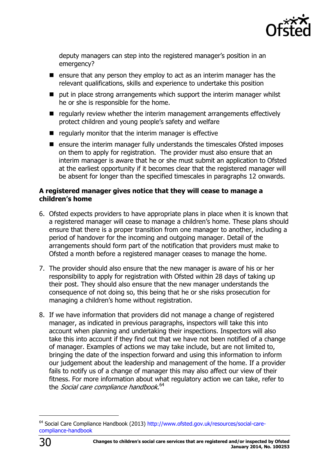

deputy managers can step into the registered manager's position in an emergency?

- $\blacksquare$  ensure that any person they employ to act as an interim manager has the relevant qualifications, skills and experience to undertake this position
- $\blacksquare$  put in place strong arrangements which support the interim manager whilst he or she is responsible for the home.
- $\blacksquare$  regularly review whether the interim management arrangements effectively protect children and young people's safety and welfare
- $\blacksquare$  regularly monitor that the interim manager is effective
- $\blacksquare$  ensure the interim manager fully understands the timescales Ofsted imposes on them to apply for registration. The provider must also ensure that an interim manager is aware that he or she must submit an application to Ofsted at the earliest opportunity if it becomes clear that the registered manager will be absent for longer than the specified timescales in paragraphs 12 onwards.

### **A registered manager gives notice that they will cease to manage a children's home**

- 6. Ofsted expects providers to have appropriate plans in place when it is known that a registered manager will cease to manage a children's home. These plans should ensure that there is a proper transition from one manager to another, including a period of handover for the incoming and outgoing manager. Detail of the arrangements should form part of the notification that providers must make to Ofsted a month before a registered manager ceases to manage the home.
- 7. The provider should also ensure that the new manager is aware of his or her responsibility to apply for registration with Ofsted within 28 days of taking up their post. They should also ensure that the new manager understands the consequence of not doing so, this being that he or she risks prosecution for managing a children's home without registration.
- 8. If we have information that providers did not manage a change of registered manager, as indicated in previous paragraphs, inspectors will take this into account when planning and undertaking their inspections. Inspectors will also take this into account if they find out that we have not been notified of a change of manager. Examples of actions we may take include, but are not limited to, bringing the date of the inspection forward and using this information to inform our judgement about the leadership and management of the home. If a provider fails to notify us of a change of manager this may also affect our view of their fitness. For more information about what regulatory action we can take, refer to the *Social care compliance handbook*.<sup>64</sup>



<sup>&</sup>lt;sup>64</sup> Social Care Compliance Handbook (2013) [http://www.ofsted.gov.uk/resources/social-care](http://www.ofsted.gov.uk/resources/social-care-compliance-handbook)[compliance-handbook](http://www.ofsted.gov.uk/resources/social-care-compliance-handbook)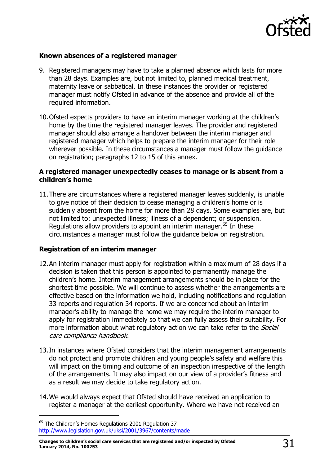

### **Known absences of a registered manager**

- 9. Registered managers may have to take a planned absence which lasts for more than 28 days. Examples are, but not limited to, planned medical treatment, maternity leave or sabbatical. In these instances the provider or registered manager must notify Ofsted in advance of the absence and provide all of the required information.
- 10.Ofsted expects providers to have an interim manager working at the children's home by the time the registered manager leaves. The provider and registered manager should also arrange a handover between the interim manager and registered manager which helps to prepare the interim manager for their role wherever possible. In these circumstances a manager must follow the guidance on registration; paragraphs 12 to 15 of this annex.

#### **A registered manager unexpectedly ceases to manage or is absent from a children's home**

11.There are circumstances where a registered manager leaves suddenly, is unable to give notice of their decision to cease managing a children's home or is suddenly absent from the home for more than 28 days. Some examples are, but not limited to: unexpected illness; illness of a dependent; or suspension. Regulations allow providers to appoint an interim manager.<sup>65</sup> In these circumstances a manager must follow the guidance below on registration.

### **Registration of an interim manager**

- 12.An interim manager must apply for registration within a maximum of 28 days if a decision is taken that this person is appointed to permanently manage the children's home. Interim management arrangements should be in place for the shortest time possible. We will continue to assess whether the arrangements are effective based on the information we hold, including notifications and regulation 33 reports and regulation 34 reports. If we are concerned about an interim manager's ability to manage the home we may require the interim manager to apply for registration immediately so that we can fully assess their suitability. For more information about what regulatory action we can take refer to the *Social* care compliance handbook.
- 13.In instances where Ofsted considers that the interim management arrangements do not protect and promote children and young people's safety and welfare this will impact on the timing and outcome of an inspection irrespective of the length of the arrangements. It may also impact on our view of a provider's fitness and as a result we may decide to take regulatory action.
- 14.We would always expect that Ofsted should have received an application to register a manager at the earliest opportunity. Where we have not received an

<sup>&</sup>lt;sup>65</sup> The Children's Homes Regulations 2001 Regulation 37 <http://www.legislation.gov.uk/uksi/2001/3967/contents/made>

**Changes to children's social care services that are registered and/or inspected by Ofsted January 2014, No. 100253** 31